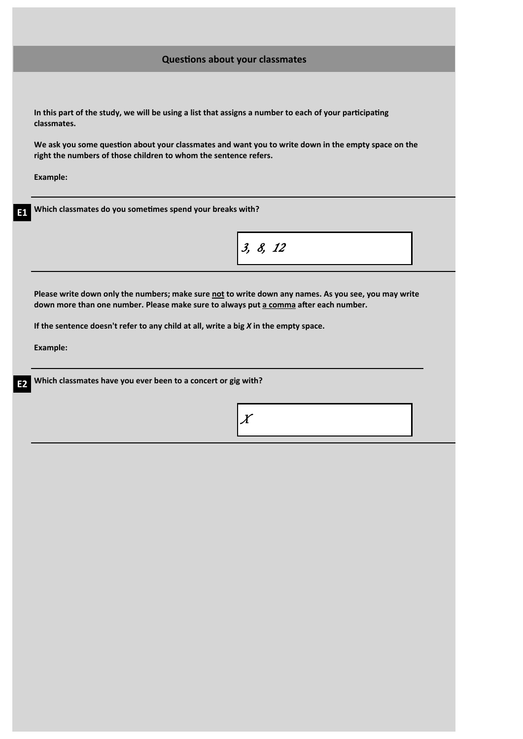|                | <b>Questions about your classmates</b>                                                                                                                                                                                                                                                 |
|----------------|----------------------------------------------------------------------------------------------------------------------------------------------------------------------------------------------------------------------------------------------------------------------------------------|
|                |                                                                                                                                                                                                                                                                                        |
|                | In this part of the study, we will be using a list that assigns a number to each of your participating<br>classmates.                                                                                                                                                                  |
|                | We ask you some question about your classmates and want you to write down in the empty space on the<br>right the numbers of those children to whom the sentence refers.                                                                                                                |
|                | <b>Example:</b>                                                                                                                                                                                                                                                                        |
| E <sub>1</sub> | Which classmates do you sometimes spend your breaks with?                                                                                                                                                                                                                              |
|                | 3, 8, 12                                                                                                                                                                                                                                                                               |
|                | Please write down only the numbers; make sure not to write down any names. As you see, you may write<br>down more than one number. Please make sure to always put a comma after each number.<br>If the sentence doesn't refer to any child at all, write a big $X$ in the empty space. |
|                | <b>Example:</b>                                                                                                                                                                                                                                                                        |
| E <sub>2</sub> | Which classmates have you ever been to a concert or gig with?                                                                                                                                                                                                                          |
|                |                                                                                                                                                                                                                                                                                        |
|                |                                                                                                                                                                                                                                                                                        |
|                |                                                                                                                                                                                                                                                                                        |
|                |                                                                                                                                                                                                                                                                                        |
|                |                                                                                                                                                                                                                                                                                        |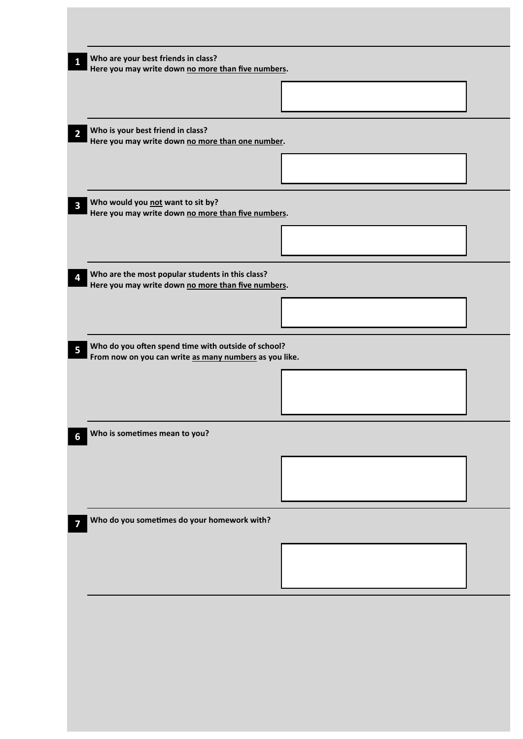|                         | Who are your best friends in class?<br>Here you may write down no more than five numbers.                     |
|-------------------------|---------------------------------------------------------------------------------------------------------------|
|                         |                                                                                                               |
| $\overline{\mathbf{2}}$ | Who is your best friend in class?<br>Here you may write down no more than one number.                         |
|                         |                                                                                                               |
| $\mathbf{3}$            | Who would you not want to sit by?<br>Here you may write down no more than five numbers.                       |
|                         |                                                                                                               |
|                         | Who are the most popular students in this class?<br>Here you may write down no more than five numbers.        |
|                         |                                                                                                               |
| 5                       | Who do you often spend time with outside of school?<br>From now on you can write as many numbers as you like. |
|                         |                                                                                                               |
| 6                       | Who is sometimes mean to you?                                                                                 |
|                         |                                                                                                               |
| $\overline{\mathbf{z}}$ | Who do you sometimes do your homework with?                                                                   |
|                         |                                                                                                               |
|                         |                                                                                                               |
|                         |                                                                                                               |
|                         |                                                                                                               |
|                         |                                                                                                               |